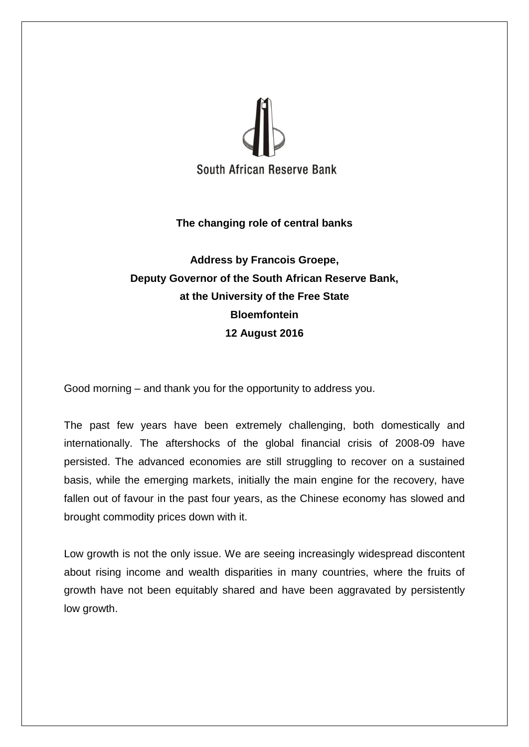

## **The changing role of central banks**

## **Address by Francois Groepe, Deputy Governor of the South African Reserve Bank, at the University of the Free State Bloemfontein 12 August 2016**

Good morning – and thank you for the opportunity to address you.

The past few years have been extremely challenging, both domestically and internationally. The aftershocks of the global financial crisis of 2008-09 have persisted. The advanced economies are still struggling to recover on a sustained basis, while the emerging markets, initially the main engine for the recovery, have fallen out of favour in the past four years, as the Chinese economy has slowed and brought commodity prices down with it.

Low growth is not the only issue. We are seeing increasingly widespread discontent about rising income and wealth disparities in many countries, where the fruits of growth have not been equitably shared and have been aggravated by persistently low growth.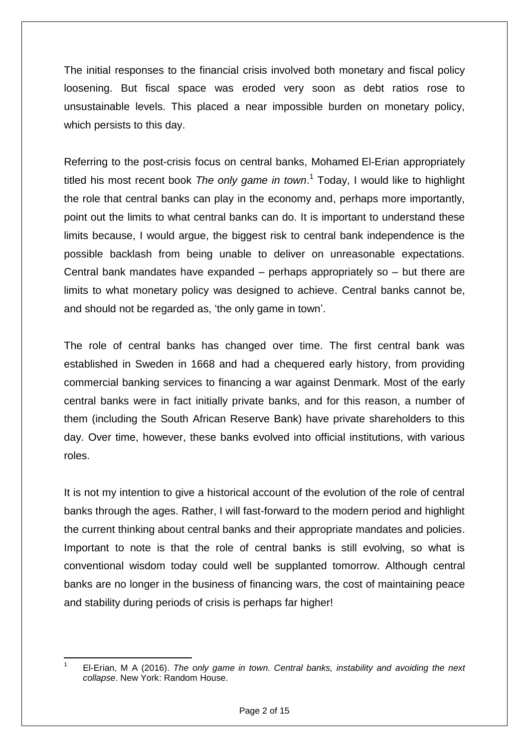The initial responses to the financial crisis involved both monetary and fiscal policy loosening. But fiscal space was eroded very soon as debt ratios rose to unsustainable levels. This placed a near impossible burden on monetary policy, which persists to this day.

Referring to the post-crisis focus on central banks, Mohamed El-Erian appropriately titled his most recent book *The only game in town*. 1 Today, I would like to highlight the role that central banks can play in the economy and, perhaps more importantly, point out the limits to what central banks can do. It is important to understand these limits because, I would argue, the biggest risk to central bank independence is the possible backlash from being unable to deliver on unreasonable expectations. Central bank mandates have expanded – perhaps appropriately so – but there are limits to what monetary policy was designed to achieve. Central banks cannot be, and should not be regarded as, 'the only game in town'.

The role of central banks has changed over time. The first central bank was established in Sweden in 1668 and had a chequered early history, from providing commercial banking services to financing a war against Denmark. Most of the early central banks were in fact initially private banks, and for this reason, a number of them (including the South African Reserve Bank) have private shareholders to this day. Over time, however, these banks evolved into official institutions, with various roles.

It is not my intention to give a historical account of the evolution of the role of central banks through the ages. Rather, I will fast-forward to the modern period and highlight the current thinking about central banks and their appropriate mandates and policies. Important to note is that the role of central banks is still evolving, so what is conventional wisdom today could well be supplanted tomorrow. Although central banks are no longer in the business of financing wars, the cost of maintaining peace and stability during periods of crisis is perhaps far higher!

**<sup>.</sup>** 1 El-Erian, M A (2016). *The only game in town. Central banks, instability and avoiding the next collapse*. New York: Random House.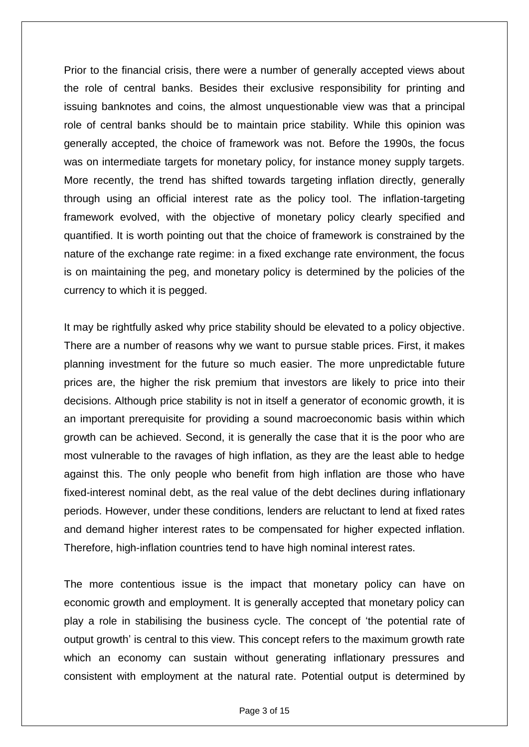Prior to the financial crisis, there were a number of generally accepted views about the role of central banks. Besides their exclusive responsibility for printing and issuing banknotes and coins, the almost unquestionable view was that a principal role of central banks should be to maintain price stability. While this opinion was generally accepted, the choice of framework was not. Before the 1990s, the focus was on intermediate targets for monetary policy, for instance money supply targets. More recently, the trend has shifted towards targeting inflation directly, generally through using an official interest rate as the policy tool. The inflation-targeting framework evolved, with the objective of monetary policy clearly specified and quantified. It is worth pointing out that the choice of framework is constrained by the nature of the exchange rate regime: in a fixed exchange rate environment, the focus is on maintaining the peg, and monetary policy is determined by the policies of the currency to which it is pegged.

It may be rightfully asked why price stability should be elevated to a policy objective. There are a number of reasons why we want to pursue stable prices. First, it makes planning investment for the future so much easier. The more unpredictable future prices are, the higher the risk premium that investors are likely to price into their decisions. Although price stability is not in itself a generator of economic growth, it is an important prerequisite for providing a sound macroeconomic basis within which growth can be achieved. Second, it is generally the case that it is the poor who are most vulnerable to the ravages of high inflation, as they are the least able to hedge against this. The only people who benefit from high inflation are those who have fixed-interest nominal debt, as the real value of the debt declines during inflationary periods. However, under these conditions, lenders are reluctant to lend at fixed rates and demand higher interest rates to be compensated for higher expected inflation. Therefore, high-inflation countries tend to have high nominal interest rates.

The more contentious issue is the impact that monetary policy can have on economic growth and employment. It is generally accepted that monetary policy can play a role in stabilising the business cycle. The concept of 'the potential rate of output growth' is central to this view. This concept refers to the maximum growth rate which an economy can sustain without generating inflationary pressures and consistent with employment at the natural rate. Potential output is determined by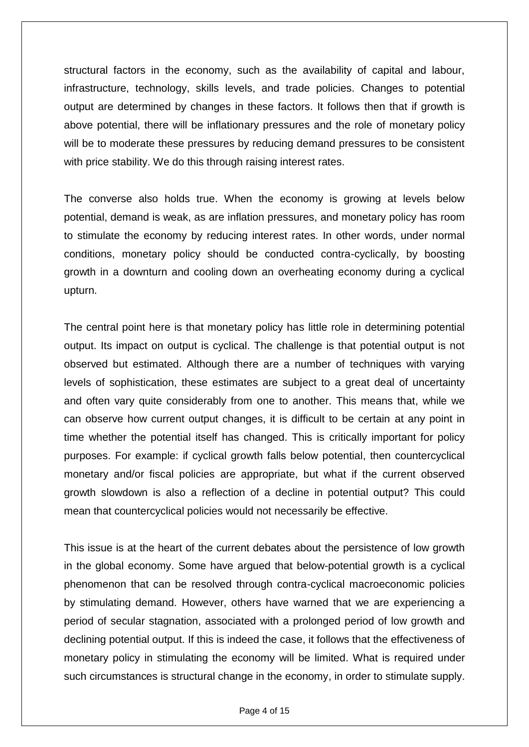structural factors in the economy, such as the availability of capital and labour, infrastructure, technology, skills levels, and trade policies. Changes to potential output are determined by changes in these factors. It follows then that if growth is above potential, there will be inflationary pressures and the role of monetary policy will be to moderate these pressures by reducing demand pressures to be consistent with price stability. We do this through raising interest rates.

The converse also holds true. When the economy is growing at levels below potential, demand is weak, as are inflation pressures, and monetary policy has room to stimulate the economy by reducing interest rates. In other words, under normal conditions, monetary policy should be conducted contra-cyclically, by boosting growth in a downturn and cooling down an overheating economy during a cyclical upturn.

The central point here is that monetary policy has little role in determining potential output. Its impact on output is cyclical. The challenge is that potential output is not observed but estimated. Although there are a number of techniques with varying levels of sophistication, these estimates are subject to a great deal of uncertainty and often vary quite considerably from one to another. This means that, while we can observe how current output changes, it is difficult to be certain at any point in time whether the potential itself has changed. This is critically important for policy purposes. For example: if cyclical growth falls below potential, then countercyclical monetary and/or fiscal policies are appropriate, but what if the current observed growth slowdown is also a reflection of a decline in potential output? This could mean that countercyclical policies would not necessarily be effective.

This issue is at the heart of the current debates about the persistence of low growth in the global economy. Some have argued that below-potential growth is a cyclical phenomenon that can be resolved through contra-cyclical macroeconomic policies by stimulating demand. However, others have warned that we are experiencing a period of secular stagnation, associated with a prolonged period of low growth and declining potential output. If this is indeed the case, it follows that the effectiveness of monetary policy in stimulating the economy will be limited. What is required under such circumstances is structural change in the economy, in order to stimulate supply.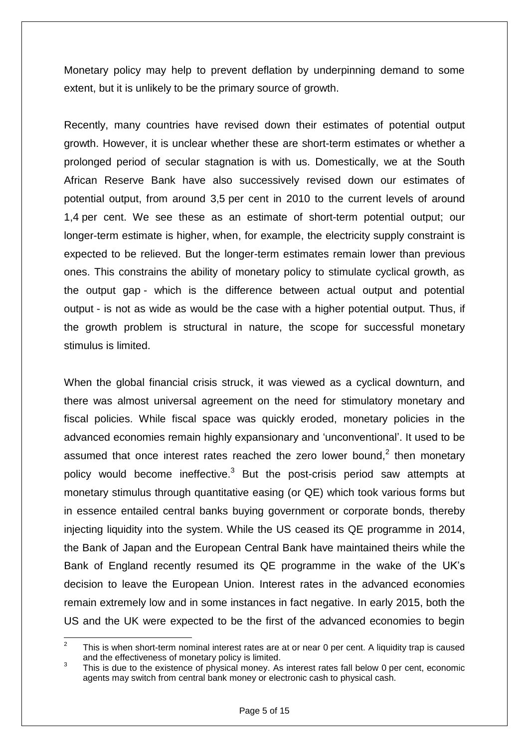Monetary policy may help to prevent deflation by underpinning demand to some extent, but it is unlikely to be the primary source of growth.

Recently, many countries have revised down their estimates of potential output growth. However, it is unclear whether these are short-term estimates or whether a prolonged period of secular stagnation is with us. Domestically, we at the South African Reserve Bank have also successively revised down our estimates of potential output, from around 3,5 per cent in 2010 to the current levels of around 1,4 per cent. We see these as an estimate of short-term potential output; our longer-term estimate is higher, when, for example, the electricity supply constraint is expected to be relieved. But the longer-term estimates remain lower than previous ones. This constrains the ability of monetary policy to stimulate cyclical growth, as the output gap - which is the difference between actual output and potential output - is not as wide as would be the case with a higher potential output. Thus, if the growth problem is structural in nature, the scope for successful monetary stimulus is limited.

When the global financial crisis struck, it was viewed as a cyclical downturn, and there was almost universal agreement on the need for stimulatory monetary and fiscal policies. While fiscal space was quickly eroded, monetary policies in the advanced economies remain highly expansionary and 'unconventional'. It used to be assumed that once interest rates reached the zero lower bound,<sup>2</sup> then monetary policy would become ineffective.<sup>3</sup> But the post-crisis period saw attempts at monetary stimulus through quantitative easing (or QE) which took various forms but in essence entailed central banks buying government or corporate bonds, thereby injecting liquidity into the system. While the US ceased its QE programme in 2014, the Bank of Japan and the European Central Bank have maintained theirs while the Bank of England recently resumed its QE programme in the wake of the UK's decision to leave the European Union. Interest rates in the advanced economies remain extremely low and in some instances in fact negative. In early 2015, both the US and the UK were expected to be the first of the advanced economies to begin

 $\frac{1}{2}$ This is when short-term nominal interest rates are at or near 0 per cent. A liquidity trap is caused and the effectiveness of monetary policy is limited.

<sup>3</sup> This is due to the existence of physical money. As interest rates fall below 0 per cent, economic agents may switch from central bank money or electronic cash to physical cash.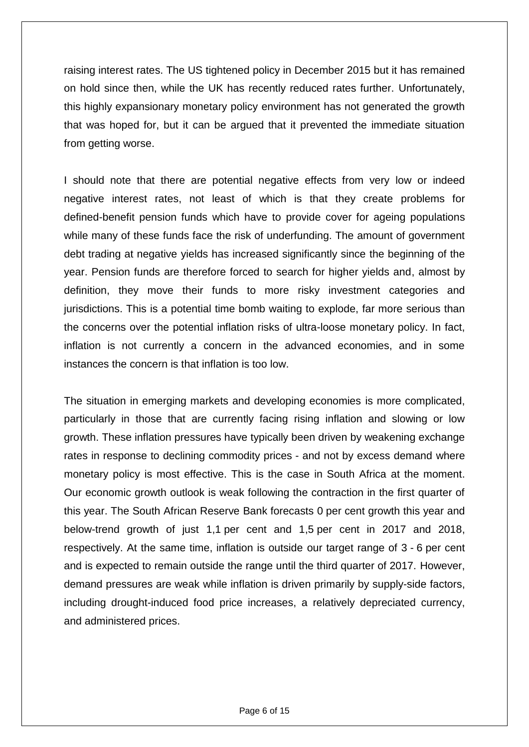raising interest rates. The US tightened policy in December 2015 but it has remained on hold since then, while the UK has recently reduced rates further. Unfortunately, this highly expansionary monetary policy environment has not generated the growth that was hoped for, but it can be argued that it prevented the immediate situation from getting worse.

I should note that there are potential negative effects from very low or indeed negative interest rates, not least of which is that they create problems for defined-benefit pension funds which have to provide cover for ageing populations while many of these funds face the risk of underfunding. The amount of government debt trading at negative yields has increased significantly since the beginning of the year. Pension funds are therefore forced to search for higher yields and, almost by definition, they move their funds to more risky investment categories and jurisdictions. This is a potential time bomb waiting to explode, far more serious than the concerns over the potential inflation risks of ultra-loose monetary policy. In fact, inflation is not currently a concern in the advanced economies, and in some instances the concern is that inflation is too low.

The situation in emerging markets and developing economies is more complicated, particularly in those that are currently facing rising inflation and slowing or low growth. These inflation pressures have typically been driven by weakening exchange rates in response to declining commodity prices - and not by excess demand where monetary policy is most effective. This is the case in South Africa at the moment. Our economic growth outlook is weak following the contraction in the first quarter of this year. The South African Reserve Bank forecasts 0 per cent growth this year and below-trend growth of just 1,1 per cent and 1,5 per cent in 2017 and 2018, respectively. At the same time, inflation is outside our target range of 3 - 6 per cent and is expected to remain outside the range until the third quarter of 2017. However, demand pressures are weak while inflation is driven primarily by supply-side factors, including drought-induced food price increases, a relatively depreciated currency, and administered prices.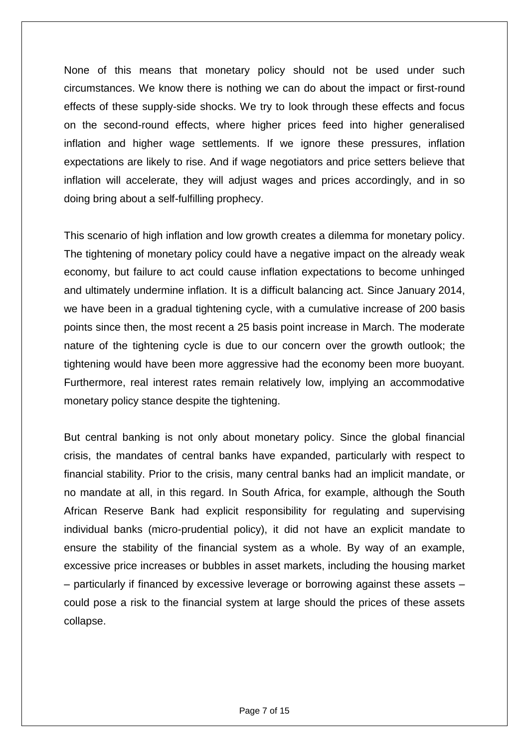None of this means that monetary policy should not be used under such circumstances. We know there is nothing we can do about the impact or first-round effects of these supply-side shocks. We try to look through these effects and focus on the second-round effects, where higher prices feed into higher generalised inflation and higher wage settlements. If we ignore these pressures, inflation expectations are likely to rise. And if wage negotiators and price setters believe that inflation will accelerate, they will adjust wages and prices accordingly, and in so doing bring about a self-fulfilling prophecy.

This scenario of high inflation and low growth creates a dilemma for monetary policy. The tightening of monetary policy could have a negative impact on the already weak economy, but failure to act could cause inflation expectations to become unhinged and ultimately undermine inflation. It is a difficult balancing act. Since January 2014, we have been in a gradual tightening cycle, with a cumulative increase of 200 basis points since then, the most recent a 25 basis point increase in March. The moderate nature of the tightening cycle is due to our concern over the growth outlook; the tightening would have been more aggressive had the economy been more buoyant. Furthermore, real interest rates remain relatively low, implying an accommodative monetary policy stance despite the tightening.

But central banking is not only about monetary policy. Since the global financial crisis, the mandates of central banks have expanded, particularly with respect to financial stability. Prior to the crisis, many central banks had an implicit mandate, or no mandate at all, in this regard. In South Africa, for example, although the South African Reserve Bank had explicit responsibility for regulating and supervising individual banks (micro-prudential policy), it did not have an explicit mandate to ensure the stability of the financial system as a whole. By way of an example, excessive price increases or bubbles in asset markets, including the housing market – particularly if financed by excessive leverage or borrowing against these assets – could pose a risk to the financial system at large should the prices of these assets collapse.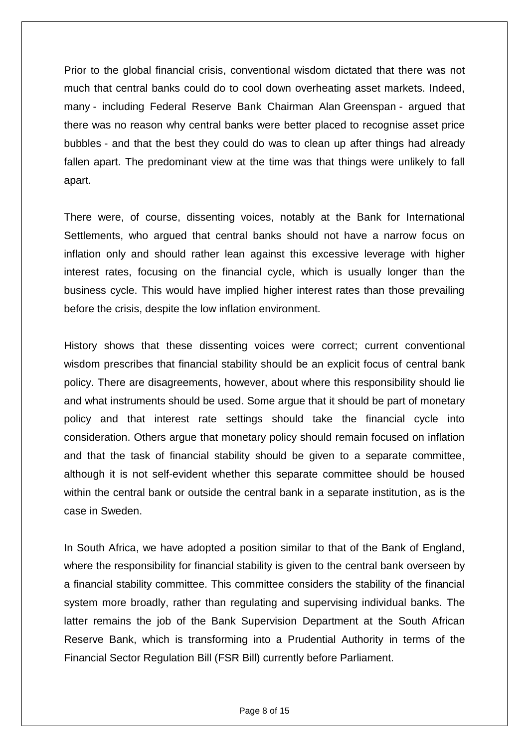Prior to the global financial crisis, conventional wisdom dictated that there was not much that central banks could do to cool down overheating asset markets. Indeed, many - including Federal Reserve Bank Chairman Alan Greenspan - argued that there was no reason why central banks were better placed to recognise asset price bubbles - and that the best they could do was to clean up after things had already fallen apart. The predominant view at the time was that things were unlikely to fall apart.

There were, of course, dissenting voices, notably at the Bank for International Settlements, who argued that central banks should not have a narrow focus on inflation only and should rather lean against this excessive leverage with higher interest rates, focusing on the financial cycle, which is usually longer than the business cycle. This would have implied higher interest rates than those prevailing before the crisis, despite the low inflation environment.

History shows that these dissenting voices were correct; current conventional wisdom prescribes that financial stability should be an explicit focus of central bank policy. There are disagreements, however, about where this responsibility should lie and what instruments should be used. Some argue that it should be part of monetary policy and that interest rate settings should take the financial cycle into consideration. Others argue that monetary policy should remain focused on inflation and that the task of financial stability should be given to a separate committee, although it is not self-evident whether this separate committee should be housed within the central bank or outside the central bank in a separate institution, as is the case in Sweden.

In South Africa, we have adopted a position similar to that of the Bank of England, where the responsibility for financial stability is given to the central bank overseen by a financial stability committee. This committee considers the stability of the financial system more broadly, rather than regulating and supervising individual banks. The latter remains the job of the Bank Supervision Department at the South African Reserve Bank, which is transforming into a Prudential Authority in terms of the Financial Sector Regulation Bill (FSR Bill) currently before Parliament.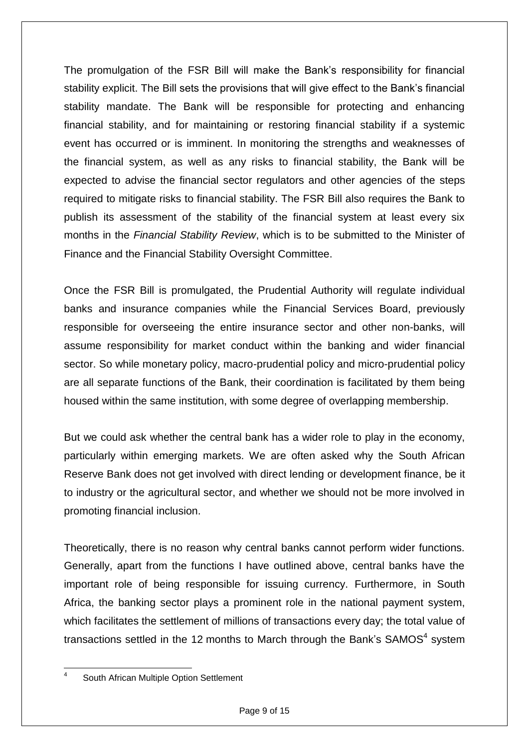The promulgation of the FSR Bill will make the Bank's responsibility for financial stability explicit. The Bill sets the provisions that will give effect to the Bank's financial stability mandate. The Bank will be responsible for protecting and enhancing financial stability, and for maintaining or restoring financial stability if a systemic event has occurred or is imminent. In monitoring the strengths and weaknesses of the financial system, as well as any risks to financial stability, the Bank will be expected to advise the financial sector regulators and other agencies of the steps required to mitigate risks to financial stability. The FSR Bill also requires the Bank to publish its assessment of the stability of the financial system at least every six months in the *Financial Stability Review*, which is to be submitted to the Minister of Finance and the Financial Stability Oversight Committee.

Once the FSR Bill is promulgated, the Prudential Authority will regulate individual banks and insurance companies while the Financial Services Board, previously responsible for overseeing the entire insurance sector and other non-banks, will assume responsibility for market conduct within the banking and wider financial sector. So while monetary policy, macro-prudential policy and micro-prudential policy are all separate functions of the Bank, their coordination is facilitated by them being housed within the same institution, with some degree of overlapping membership.

But we could ask whether the central bank has a wider role to play in the economy, particularly within emerging markets. We are often asked why the South African Reserve Bank does not get involved with direct lending or development finance, be it to industry or the agricultural sector, and whether we should not be more involved in promoting financial inclusion.

Theoretically, there is no reason why central banks cannot perform wider functions. Generally, apart from the functions I have outlined above, central banks have the important role of being responsible for issuing currency. Furthermore, in South Africa, the banking sector plays a prominent role in the national payment system, which facilitates the settlement of millions of transactions every day; the total value of transactions settled in the 12 months to March through the Bank's SAMOS<sup>4</sup> system

 $\frac{1}{4}$ South African Multiple Option Settlement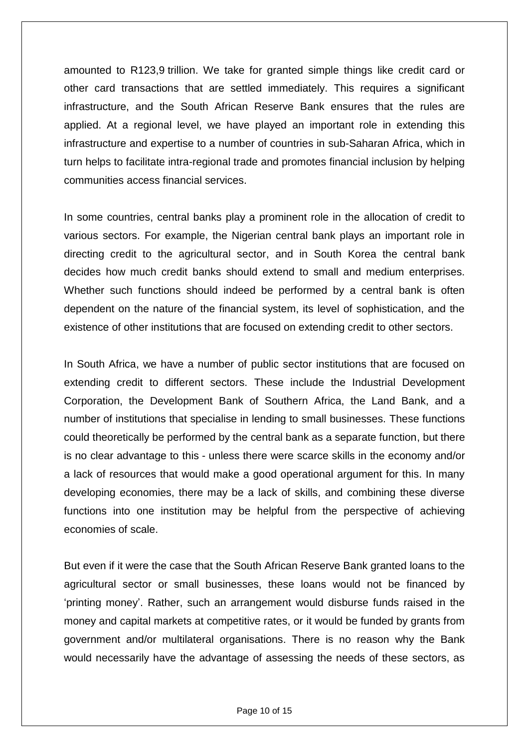amounted to R123,9 trillion. We take for granted simple things like credit card or other card transactions that are settled immediately. This requires a significant infrastructure, and the South African Reserve Bank ensures that the rules are applied. At a regional level, we have played an important role in extending this infrastructure and expertise to a number of countries in sub-Saharan Africa, which in turn helps to facilitate intra-regional trade and promotes financial inclusion by helping communities access financial services.

In some countries, central banks play a prominent role in the allocation of credit to various sectors. For example, the Nigerian central bank plays an important role in directing credit to the agricultural sector, and in South Korea the central bank decides how much credit banks should extend to small and medium enterprises. Whether such functions should indeed be performed by a central bank is often dependent on the nature of the financial system, its level of sophistication, and the existence of other institutions that are focused on extending credit to other sectors.

In South Africa, we have a number of public sector institutions that are focused on extending credit to different sectors. These include the Industrial Development Corporation, the Development Bank of Southern Africa, the Land Bank, and a number of institutions that specialise in lending to small businesses. These functions could theoretically be performed by the central bank as a separate function, but there is no clear advantage to this - unless there were scarce skills in the economy and/or a lack of resources that would make a good operational argument for this. In many developing economies, there may be a lack of skills, and combining these diverse functions into one institution may be helpful from the perspective of achieving economies of scale.

But even if it were the case that the South African Reserve Bank granted loans to the agricultural sector or small businesses, these loans would not be financed by 'printing money'. Rather, such an arrangement would disburse funds raised in the money and capital markets at competitive rates, or it would be funded by grants from government and/or multilateral organisations. There is no reason why the Bank would necessarily have the advantage of assessing the needs of these sectors, as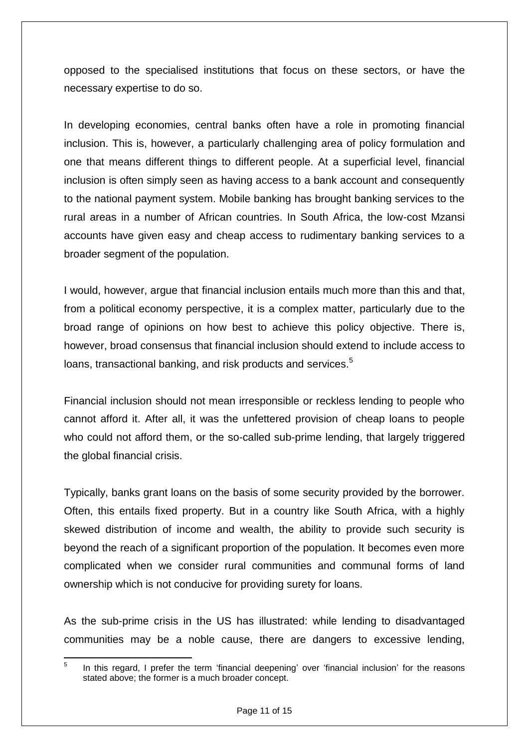opposed to the specialised institutions that focus on these sectors, or have the necessary expertise to do so.

In developing economies, central banks often have a role in promoting financial inclusion. This is, however, a particularly challenging area of policy formulation and one that means different things to different people. At a superficial level, financial inclusion is often simply seen as having access to a bank account and consequently to the national payment system. Mobile banking has brought banking services to the rural areas in a number of African countries. In South Africa, the low-cost Mzansi accounts have given easy and cheap access to rudimentary banking services to a broader segment of the population.

I would, however, argue that financial inclusion entails much more than this and that, from a political economy perspective, it is a complex matter, particularly due to the broad range of opinions on how best to achieve this policy objective. There is, however, broad consensus that financial inclusion should extend to include access to loans, transactional banking, and risk products and services.<sup>5</sup>

Financial inclusion should not mean irresponsible or reckless lending to people who cannot afford it. After all, it was the unfettered provision of cheap loans to people who could not afford them, or the so-called sub-prime lending, that largely triggered the global financial crisis.

Typically, banks grant loans on the basis of some security provided by the borrower. Often, this entails fixed property. But in a country like South Africa, with a highly skewed distribution of income and wealth, the ability to provide such security is beyond the reach of a significant proportion of the population. It becomes even more complicated when we consider rural communities and communal forms of land ownership which is not conducive for providing surety for loans.

As the sub-prime crisis in the US has illustrated: while lending to disadvantaged communities may be a noble cause, there are dangers to excessive lending,

<sup>—&</sup>lt;br>5 In this regard, I prefer the term 'financial deepening' over 'financial inclusion' for the reasons stated above; the former is a much broader concept.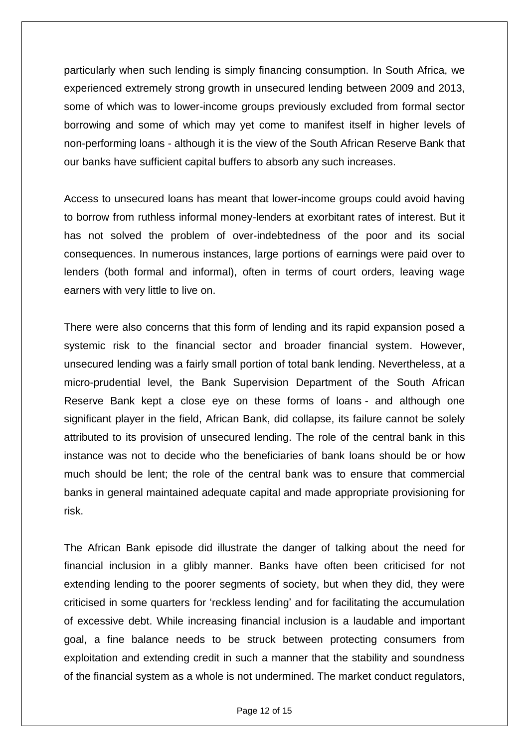particularly when such lending is simply financing consumption. In South Africa, we experienced extremely strong growth in unsecured lending between 2009 and 2013, some of which was to lower-income groups previously excluded from formal sector borrowing and some of which may yet come to manifest itself in higher levels of non-performing loans - although it is the view of the South African Reserve Bank that our banks have sufficient capital buffers to absorb any such increases.

Access to unsecured loans has meant that lower-income groups could avoid having to borrow from ruthless informal money-lenders at exorbitant rates of interest. But it has not solved the problem of over-indebtedness of the poor and its social consequences. In numerous instances, large portions of earnings were paid over to lenders (both formal and informal), often in terms of court orders, leaving wage earners with very little to live on.

There were also concerns that this form of lending and its rapid expansion posed a systemic risk to the financial sector and broader financial system. However, unsecured lending was a fairly small portion of total bank lending. Nevertheless, at a micro-prudential level, the Bank Supervision Department of the South African Reserve Bank kept a close eye on these forms of loans - and although one significant player in the field, African Bank, did collapse, its failure cannot be solely attributed to its provision of unsecured lending. The role of the central bank in this instance was not to decide who the beneficiaries of bank loans should be or how much should be lent; the role of the central bank was to ensure that commercial banks in general maintained adequate capital and made appropriate provisioning for risk.

The African Bank episode did illustrate the danger of talking about the need for financial inclusion in a glibly manner. Banks have often been criticised for not extending lending to the poorer segments of society, but when they did, they were criticised in some quarters for 'reckless lending' and for facilitating the accumulation of excessive debt. While increasing financial inclusion is a laudable and important goal, a fine balance needs to be struck between protecting consumers from exploitation and extending credit in such a manner that the stability and soundness of the financial system as a whole is not undermined. The market conduct regulators,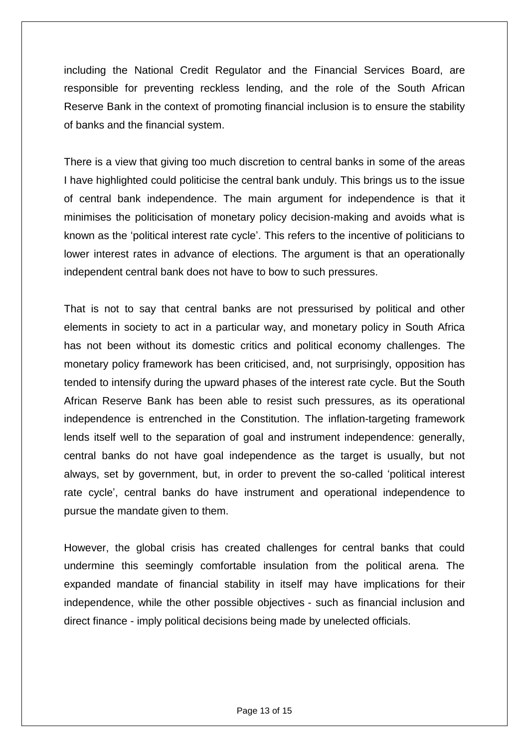including the National Credit Regulator and the Financial Services Board, are responsible for preventing reckless lending, and the role of the South African Reserve Bank in the context of promoting financial inclusion is to ensure the stability of banks and the financial system.

There is a view that giving too much discretion to central banks in some of the areas I have highlighted could politicise the central bank unduly. This brings us to the issue of central bank independence. The main argument for independence is that it minimises the politicisation of monetary policy decision-making and avoids what is known as the 'political interest rate cycle'. This refers to the incentive of politicians to lower interest rates in advance of elections. The argument is that an operationally independent central bank does not have to bow to such pressures.

That is not to say that central banks are not pressurised by political and other elements in society to act in a particular way, and monetary policy in South Africa has not been without its domestic critics and political economy challenges. The monetary policy framework has been criticised, and, not surprisingly, opposition has tended to intensify during the upward phases of the interest rate cycle. But the South African Reserve Bank has been able to resist such pressures, as its operational independence is entrenched in the Constitution. The inflation-targeting framework lends itself well to the separation of goal and instrument independence: generally, central banks do not have goal independence as the target is usually, but not always, set by government, but, in order to prevent the so-called 'political interest rate cycle', central banks do have instrument and operational independence to pursue the mandate given to them.

However, the global crisis has created challenges for central banks that could undermine this seemingly comfortable insulation from the political arena. The expanded mandate of financial stability in itself may have implications for their independence, while the other possible objectives - such as financial inclusion and direct finance - imply political decisions being made by unelected officials.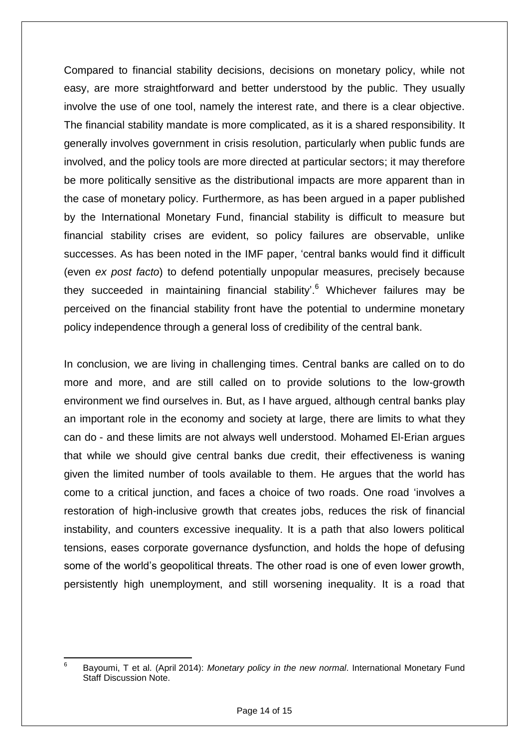Compared to financial stability decisions, decisions on monetary policy, while not easy, are more straightforward and better understood by the public. They usually involve the use of one tool, namely the interest rate, and there is a clear objective. The financial stability mandate is more complicated, as it is a shared responsibility. It generally involves government in crisis resolution, particularly when public funds are involved, and the policy tools are more directed at particular sectors; it may therefore be more politically sensitive as the distributional impacts are more apparent than in the case of monetary policy. Furthermore, as has been argued in a paper published by the International Monetary Fund, financial stability is difficult to measure but financial stability crises are evident, so policy failures are observable, unlike successes. As has been noted in the IMF paper, 'central banks would find it difficult (even *ex post facto*) to defend potentially unpopular measures, precisely because they succeeded in maintaining financial stability'.<sup>6</sup> Whichever failures may be perceived on the financial stability front have the potential to undermine monetary policy independence through a general loss of credibility of the central bank.

In conclusion, we are living in challenging times. Central banks are called on to do more and more, and are still called on to provide solutions to the low-growth environment we find ourselves in. But, as I have argued, although central banks play an important role in the economy and society at large, there are limits to what they can do - and these limits are not always well understood. Mohamed El-Erian argues that while we should give central banks due credit, their effectiveness is waning given the limited number of tools available to them. He argues that the world has come to a critical junction, and faces a choice of two roads. One road 'involves a restoration of high-inclusive growth that creates jobs, reduces the risk of financial instability, and counters excessive inequality. It is a path that also lowers political tensions, eases corporate governance dysfunction, and holds the hope of defusing some of the world's geopolitical threats. The other road is one of even lower growth, persistently high unemployment, and still worsening inequality. It is a road that

<sup>-&</sup>lt;br>6 Bayoumi, T et al. (April 2014): *Monetary policy in the new normal*. International Monetary Fund Staff Discussion Note.